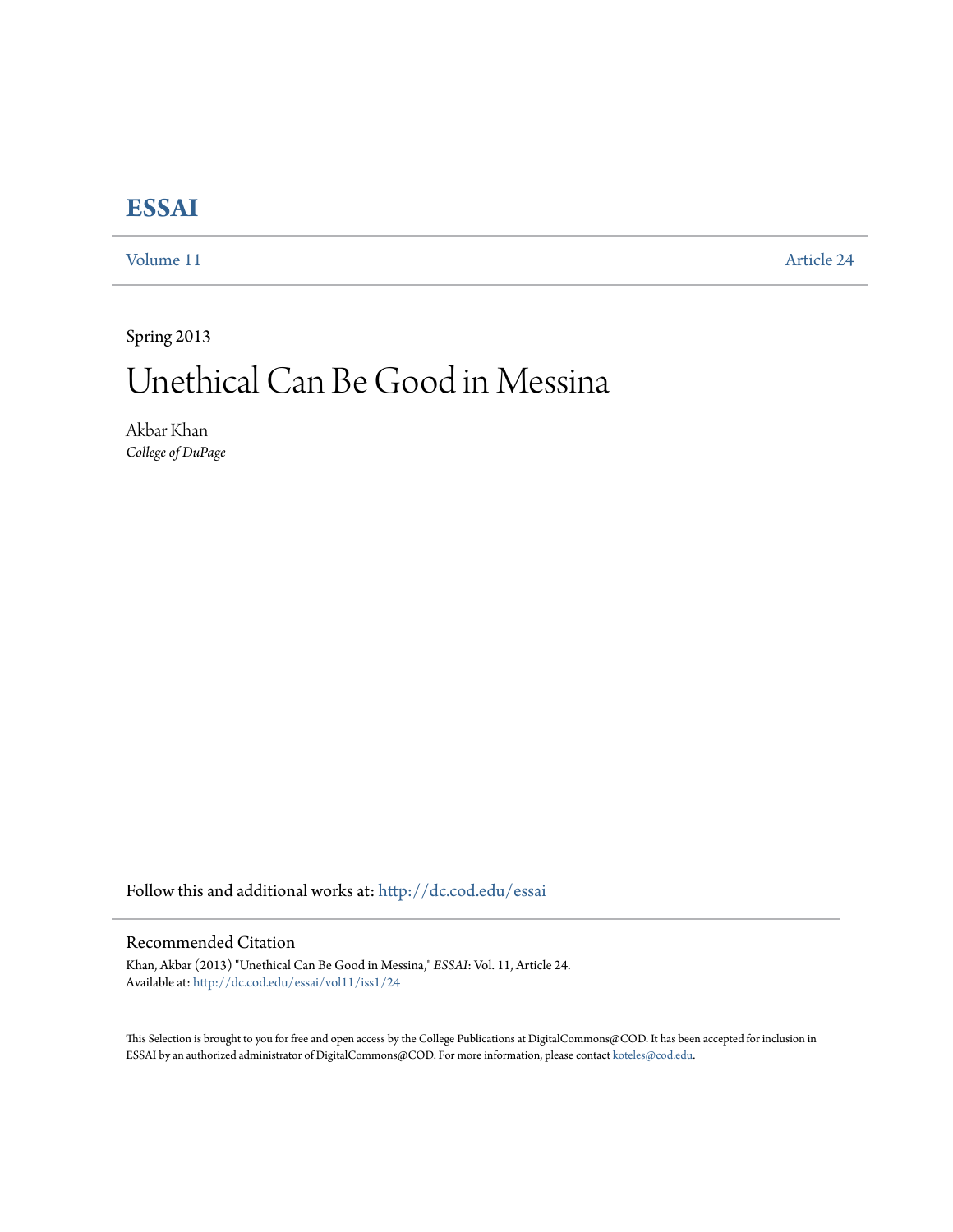## **[ESSAI](http://dc.cod.edu/essai?utm_source=dc.cod.edu%2Fessai%2Fvol11%2Fiss1%2F24&utm_medium=PDF&utm_campaign=PDFCoverPages)**

[Volume 11](http://dc.cod.edu/essai/vol11?utm_source=dc.cod.edu%2Fessai%2Fvol11%2Fiss1%2F24&utm_medium=PDF&utm_campaign=PDFCoverPages) [Article 24](http://dc.cod.edu/essai/vol11/iss1/24?utm_source=dc.cod.edu%2Fessai%2Fvol11%2Fiss1%2F24&utm_medium=PDF&utm_campaign=PDFCoverPages)

Spring 2013

## Unethical Can Be Good in Messina

Akbar Khan *College of DuPage*

Follow this and additional works at: [http://dc.cod.edu/essai](http://dc.cod.edu/essai?utm_source=dc.cod.edu%2Fessai%2Fvol11%2Fiss1%2F24&utm_medium=PDF&utm_campaign=PDFCoverPages)

## Recommended Citation

Khan, Akbar (2013) "Unethical Can Be Good in Messina," *ESSAI*: Vol. 11, Article 24. Available at: [http://dc.cod.edu/essai/vol11/iss1/24](http://dc.cod.edu/essai/vol11/iss1/24?utm_source=dc.cod.edu%2Fessai%2Fvol11%2Fiss1%2F24&utm_medium=PDF&utm_campaign=PDFCoverPages)

This Selection is brought to you for free and open access by the College Publications at DigitalCommons@COD. It has been accepted for inclusion in ESSAI by an authorized administrator of DigitalCommons@COD. For more information, please contact [koteles@cod.edu](mailto:koteles@cod.edu).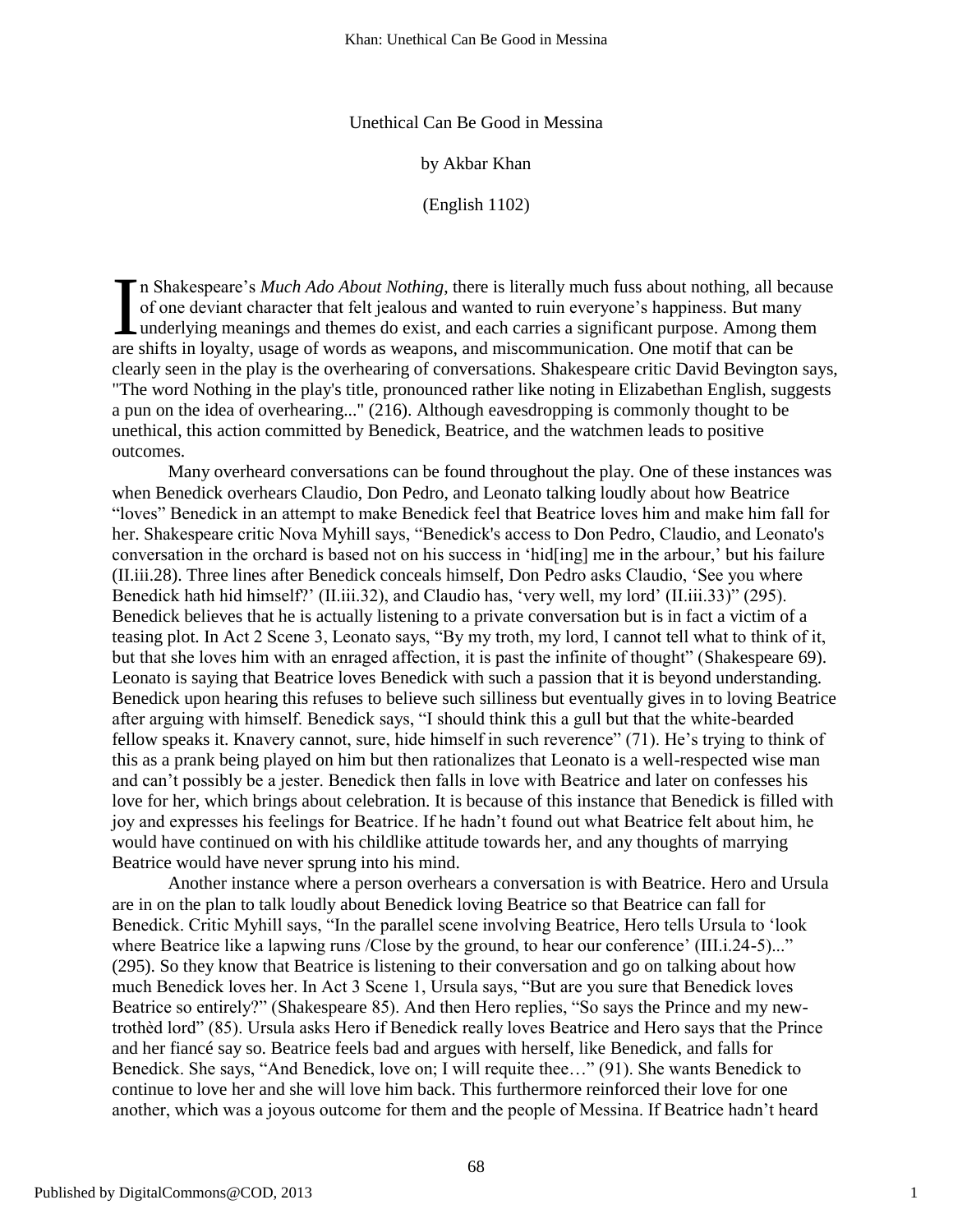Unethical Can Be Good in Messina

by Akbar Khan

(English 1102)

n Shakespeare's *Much Ado About Nothing*, there is literally much fuss about nothing, all because of one deviant character that felt jealous and wanted to ruin everyone's happiness. But many underlying meanings and themes do exist, and each carries a significant purpose. Among them are shifts in loyalty, usage of words as weapons, and miscommunication. One motif that can be clearly seen in the play is the overhearing of conversations. Shakespeare critic David Bevington says, "The word Nothing in the play's title, pronounced rather like noting in Elizabethan English, suggests a pun on the idea of overhearing..." (216). Although eavesdropping is commonly thought to be unethical, this action committed by Benedick, Beatrice, and the watchmen leads to positive outcomes. I<br>are

Many overheard conversations can be found throughout the play. One of these instances was when Benedick overhears Claudio, Don Pedro, and Leonato talking loudly about how Beatrice ―loves‖ Benedick in an attempt to make Benedick feel that Beatrice loves him and make him fall for her. Shakespeare critic Nova Myhill says, "Benedick's access to Don Pedro, Claudio, and Leonato's conversation in the orchard is based not on his success in ‗hid[ing] me in the arbour,' but his failure (II.iii.28). Three lines after Benedick conceals himself, Don Pedro asks Claudio, ‗See you where Benedick hath hid himself?' (II.iii.32), and Claudio has, 'very well, my lord' (II.iii.33)'' (295). Benedick believes that he is actually listening to a private conversation but is in fact a victim of a teasing plot. In Act 2 Scene 3, Leonato says, "By my troth, my lord, I cannot tell what to think of it, but that she loves him with an enraged affection, it is past the infinite of thought" (Shakespeare 69). Leonato is saying that Beatrice loves Benedick with such a passion that it is beyond understanding. Benedick upon hearing this refuses to believe such silliness but eventually gives in to loving Beatrice after arguing with himself. Benedick says, "I should think this a gull but that the white-bearded fellow speaks it. Knavery cannot, sure, hide himself in such reverence" (71). He's trying to think of this as a prank being played on him but then rationalizes that Leonato is a well-respected wise man and can't possibly be a jester. Benedick then falls in love with Beatrice and later on confesses his love for her, which brings about celebration. It is because of this instance that Benedick is filled with joy and expresses his feelings for Beatrice. If he hadn't found out what Beatrice felt about him, he would have continued on with his childlike attitude towards her, and any thoughts of marrying Beatrice would have never sprung into his mind.

Another instance where a person overhears a conversation is with Beatrice. Hero and Ursula are in on the plan to talk loudly about Benedick loving Beatrice so that Beatrice can fall for Benedick. Critic Myhill says, "In the parallel scene involving Beatrice, Hero tells Ursula to 'look where Beatrice like a lapwing runs /Close by the ground, to hear our conference' (III.i.24-5)..." (295). So they know that Beatrice is listening to their conversation and go on talking about how much Benedick loves her. In Act 3 Scene 1, Ursula says, "But are you sure that Benedick loves Beatrice so entirely?" (Shakespeare 85). And then Hero replies, "So says the Prince and my newtrothèd lord" (85). Ursula asks Hero if Benedick really loves Beatrice and Hero says that the Prince and her fiancé say so. Beatrice feels bad and argues with herself, like Benedick, and falls for Benedick. She says, "And Benedick, love on; I will requite thee..." (91). She wants Benedick to continue to love her and she will love him back. This furthermore reinforced their love for one another, which was a joyous outcome for them and the people of Messina. If Beatrice hadn't heard

1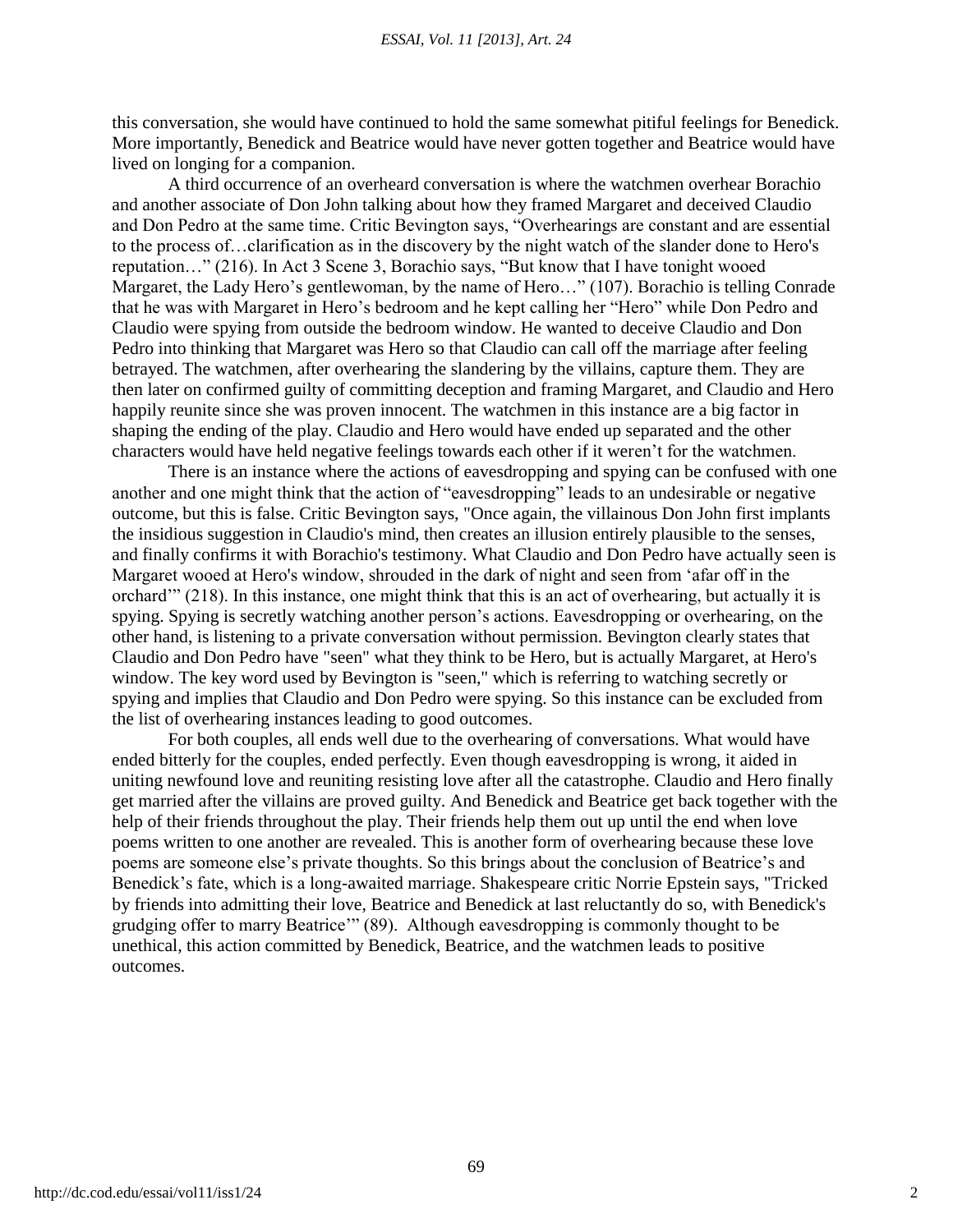this conversation, she would have continued to hold the same somewhat pitiful feelings for Benedick. More importantly, Benedick and Beatrice would have never gotten together and Beatrice would have lived on longing for a companion.

A third occurrence of an overheard conversation is where the watchmen overhear Borachio and another associate of Don John talking about how they framed Margaret and deceived Claudio and Don Pedro at the same time. Critic Bevington says, "Overhearings are constant and are essential to the process of…clarification as in the discovery by the night watch of the slander done to Hero's reputation…" (216). In Act 3 Scene 3, Borachio says, "But know that I have tonight wooed Margaret, the Lady Hero's gentlewoman, by the name of Hero..." (107). Borachio is telling Conrade that he was with Margaret in Hero's bedroom and he kept calling her "Hero" while Don Pedro and Claudio were spying from outside the bedroom window. He wanted to deceive Claudio and Don Pedro into thinking that Margaret was Hero so that Claudio can call off the marriage after feeling betrayed. The watchmen, after overhearing the slandering by the villains, capture them. They are then later on confirmed guilty of committing deception and framing Margaret, and Claudio and Hero happily reunite since she was proven innocent. The watchmen in this instance are a big factor in shaping the ending of the play. Claudio and Hero would have ended up separated and the other characters would have held negative feelings towards each other if it weren't for the watchmen.

There is an instance where the actions of eavesdropping and spying can be confused with one another and one might think that the action of "eavesdropping" leads to an undesirable or negative outcome, but this is false. Critic Bevington says, "Once again, the villainous Don John first implants the insidious suggestion in Claudio's mind, then creates an illusion entirely plausible to the senses, and finally confirms it with Borachio's testimony. What Claudio and Don Pedro have actually seen is Margaret wooed at Hero's window, shrouded in the dark of night and seen from 'afar off in the orchard'" (218). In this instance, one might think that this is an act of overhearing, but actually it is spying. Spying is secretly watching another person's actions. Eavesdropping or overhearing, on the other hand, is listening to a private conversation without permission. Bevington clearly states that Claudio and Don Pedro have "seen" what they think to be Hero, but is actually Margaret, at Hero's window. The key word used by Bevington is "seen," which is referring to watching secretly or spying and implies that Claudio and Don Pedro were spying. So this instance can be excluded from the list of overhearing instances leading to good outcomes.

For both couples, all ends well due to the overhearing of conversations. What would have ended bitterly for the couples, ended perfectly. Even though eavesdropping is wrong, it aided in uniting newfound love and reuniting resisting love after all the catastrophe. Claudio and Hero finally get married after the villains are proved guilty. And Benedick and Beatrice get back together with the help of their friends throughout the play. Their friends help them out up until the end when love poems written to one another are revealed. This is another form of overhearing because these love poems are someone else's private thoughts. So this brings about the conclusion of Beatrice's and Benedick's fate, which is a long-awaited marriage. Shakespeare critic Norrie Epstein says, "Tricked by friends into admitting their love, Beatrice and Benedick at last reluctantly do so, with Benedick's grudging offer to marry Beatrice" (89). Although eavesdropping is commonly thought to be unethical, this action committed by Benedick, Beatrice, and the watchmen leads to positive outcomes.